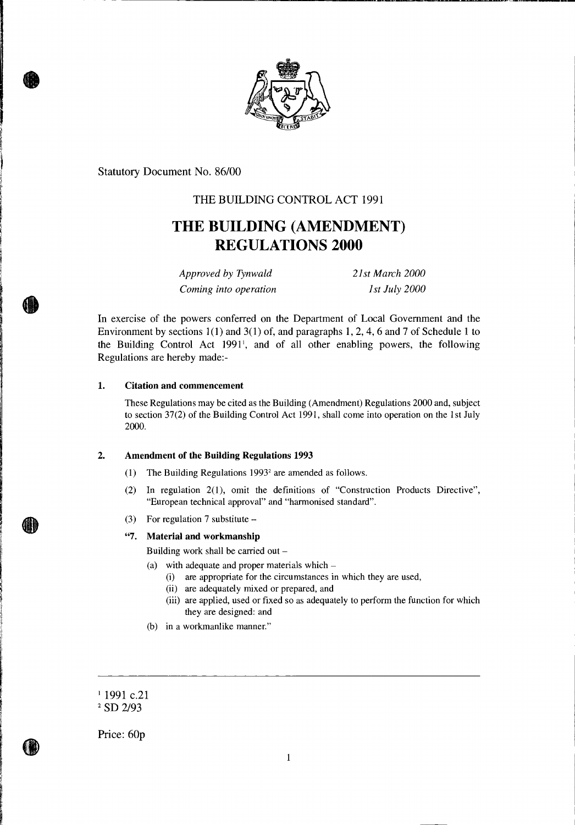

Statutory Document No. 86/00

## THE BUILDING CONTROL ACT 1991

# **THE BUILDING (AMENDMENT) REGULATIONS 2000**

*Approved by Tynwald 21st March 2000 Coming into operation* 1st July 2000

In exercise of the powers conferred on the Department of Local Government and the Environment by sections 1(1) and 3(1) of, and paragraphs 1, 2, 4, 6 and 7 of Schedule 1 to the Building Control Act 1991', and of all other enabling powers, the following Regulations are hereby made:-

## **1. Citation and commencement**

These Regulations may be cited as the Building (Amendment) Regulations 2000 and, subject to section 37(2) of the Building Control Act 1991, shall come into operation on the 1st July 2000.

## **2. Amendment of the Building Regulations 1993**

- (1) The Building Regulations  $1993<sup>2</sup>$  are amended as follows.
- (2) In regulation 2(1), omit the definitions of "Construction Products Directive", "European technical approval" and "harmonised standard".
- (3) For regulation 7 substitute

## **"7. Material and workmanship**

Building work shall be carried out —

- (a) with adequate and proper materials which
	- (i) are appropriate for the circumstances in which they are used,
	- (ii) are adequately mixed or prepared, and
	- (iii) are applied, used or fixed so as adequately to perform the function for which they are designed: and
- (b) in a workmanlike manner."
- <sup>1</sup> 1991 c.21

Price: 60p

<sup>&</sup>lt;sup>2</sup> SD 2/93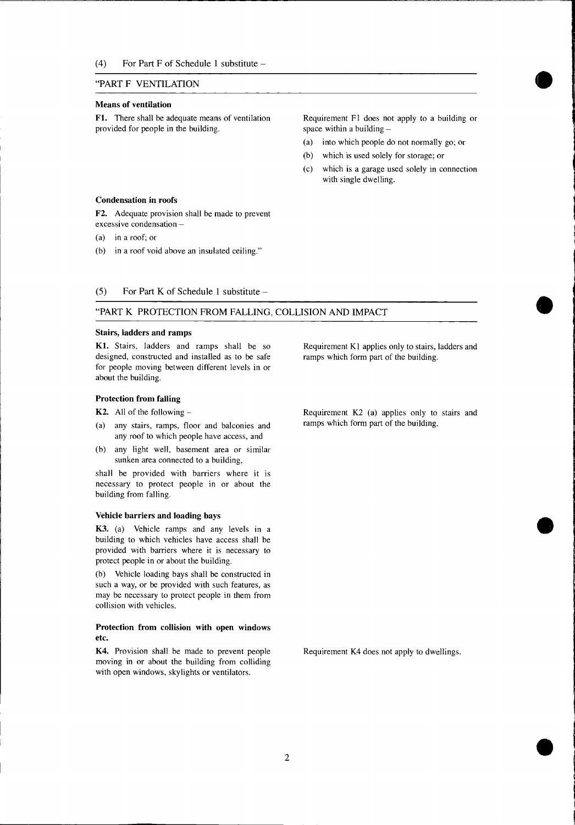(4) For Part F of Schedule 1 substitute —

## "PART F VENTILATION

#### **Means of ventilation**

**F1.** There shall be adequate means of ventilation Requirement F1 does not apply to a building or provided for people in the building. Space within a building  $-$ 

- (a) into which people do not normally go; or
- (b) which is used solely for storage; or
- (c) which is a garage used solely in connection with single dwelling.

#### **Condensation in roofs**

**F2.** Adequate provision shall be made to prevent excessive condensation —

(a) in a roof; or

(b) in a roof void above an insulated ceiling."

## (5) For Part K of Schedule 1 substitute  $-$

## "PART K PROTECTION FROM FALLING, COLLISION AND IMPACT

#### **Stairs, ladders and ramps**

K1. Stairs, ladders and ramps shall be so designed, constructed and installed as to be safe for people moving between different levels in or about the building.

### **Protection from falling**

- 
- ramps which form part of the building. (a) any stairs, ramps, floor and balconies and any roof to which people have access, and
- (b) any light well, basement area or similar sunken area connected to a building,

shall be provided with barriers where it is necessary to protect people in or about the building from falling.

### **Vehicle barriers and loading bays**

K3. (a) Vehicle ramps and any levels in a building to which vehicles have access shall be provided with barriers where it is necessary to protect people in or about the building.

(b) Vehicle loading bays shall be constructed in such a way, or be provided with such features, as may be necessary to protect people in them from collision with vehicles.

## **Protection from collision with open windows etc.**

K4. Provision shall be made to prevent people moving in or about the building from colliding with open windows, skylights or ventilators.

Requirement Kl applies only to stairs, ladders and ramps which form part of the building.

**K2.** All of the following – Requirement K2 (a) applies only to stairs and

Requirement K4 does not apply to dwellings.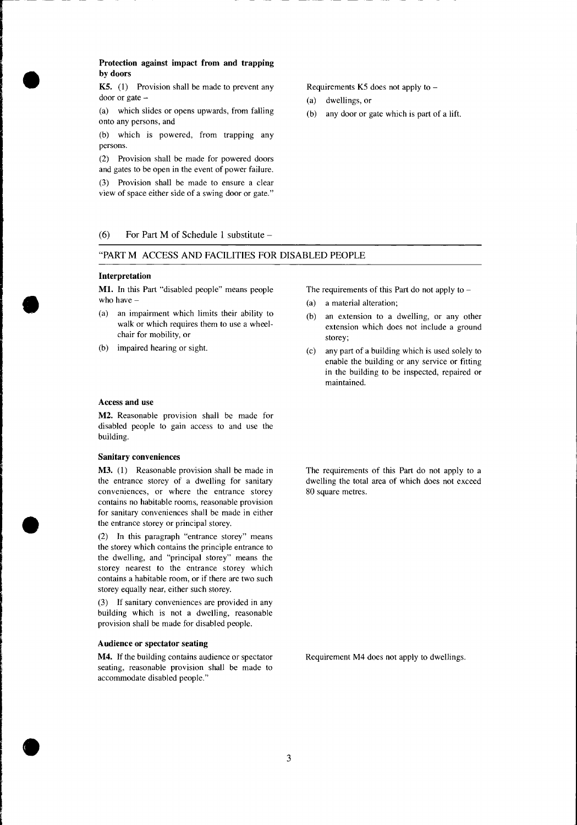## **Protection against impact from and trapping by doors**

**K5.** (1) Provision shall be made to prevent any door or gate —

(a) which slides or opens upwards, from falling onto any persons, and

(b) which is powered, from trapping any persons.

(2) Provision shall be made for powered doors and gates to be open in the event of power failure.

(3) Provision shall be made to ensure a clear view of space either side of a swing door or gate."

(6) For Part M of Schedule 1 substitute —

## "PART M ACCESS AND FACILITIES FOR DISABLED PEOPLE

### **Interpretation**

**Ml.** In this Part "disabled people" means people who have —

- (a) an impairment which limits their ability to walk or which requires them to use a wheelchair for mobility, or
- (b) impaired hearing or sight.

## **Access and use**

**M2.** Reasonable provision shall be made for disabled people to gain access to and use the building.

#### **Sanitary conveniences**

**M3.** (1) Reasonable provision shall be made in the entrance storey of a dwelling for sanitary conveniences, or where the entrance storey contains no habitable rooms, reasonable provision for sanitary conveniences shall be made in either the entrance storey or principal storey.

(2) In this paragraph "entrance storey" means the storey which contains the principle entrance to the dwelling, and "principal storey" means the storey nearest to the entrance storey which contains a habitable room, or if there are two such storey equally near, either such storey.

(3) If sanitary conveniences are provided in any building which is not a dwelling, reasonable provision shall be made for disabled people.

## **Audience or spectator seating**

**M4.** If the building contains audience or spectator seating, reasonable provision shall be made to accommodate disabled people."

Requirements K5 does not apply to —

- (a) dwellings, or
- (b) any door or gate which is part of a lift.

The requirements of this Part do not apply to  $-$ 

- (a) a material alteration;
- (b) an extension to a dwelling, or any other extension which does not include a ground storey;
- (c) any part of a building which is used solely to enable the building or any service or fitting in the building to be inspected, repaired or maintained.

The requirements of this Part do not apply to a dwelling the total area of which does not exceed 80 square metres.

Requirement M4 does not apply to dwellings.